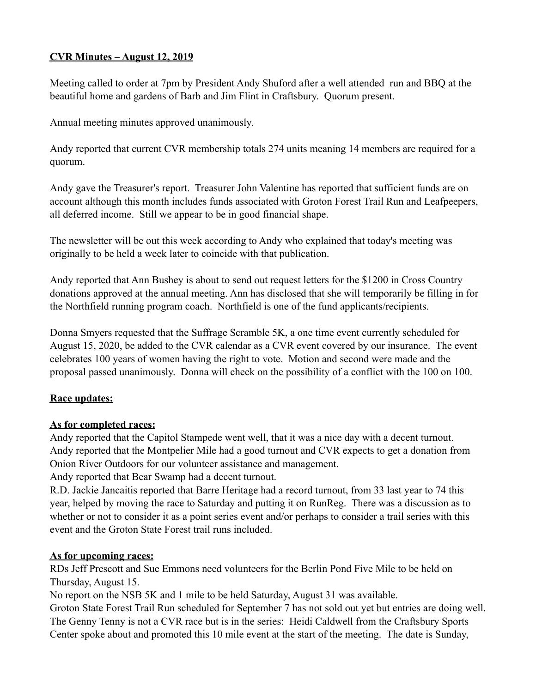## **CVR Minutes – August 12, 2019**

Meeting called to order at 7pm by President Andy Shuford after a well attended run and BBQ at the beautiful home and gardens of Barb and Jim Flint in Craftsbury. Quorum present.

Annual meeting minutes approved unanimously.

Andy reported that current CVR membership totals 274 units meaning 14 members are required for a quorum.

Andy gave the Treasurer's report. Treasurer John Valentine has reported that sufficient funds are on account although this month includes funds associated with Groton Forest Trail Run and Leafpeepers, all deferred income. Still we appear to be in good financial shape.

The newsletter will be out this week according to Andy who explained that today's meeting was originally to be held a week later to coincide with that publication.

Andy reported that Ann Bushey is about to send out request letters for the \$1200 in Cross Country donations approved at the annual meeting. Ann has disclosed that she will temporarily be filling in for the Northfield running program coach. Northfield is one of the fund applicants/recipients.

Donna Smyers requested that the Suffrage Scramble 5K, a one time event currently scheduled for August 15, 2020, be added to the CVR calendar as a CVR event covered by our insurance. The event celebrates 100 years of women having the right to vote. Motion and second were made and the proposal passed unanimously. Donna will check on the possibility of a conflict with the 100 on 100.

# **Race updates:**

#### **As for completed races:**

Andy reported that the Capitol Stampede went well, that it was a nice day with a decent turnout. Andy reported that the Montpelier Mile had a good turnout and CVR expects to get a donation from Onion River Outdoors for our volunteer assistance and management.

Andy reported that Bear Swamp had a decent turnout.

R.D. Jackie Jancaitis reported that Barre Heritage had a record turnout, from 33 last year to 74 this year, helped by moving the race to Saturday and putting it on RunReg. There was a discussion as to whether or not to consider it as a point series event and/or perhaps to consider a trail series with this event and the Groton State Forest trail runs included.

#### **As for upcoming races:**

RDs Jeff Prescott and Sue Emmons need volunteers for the Berlin Pond Five Mile to be held on Thursday, August 15.

No report on the NSB 5K and 1 mile to be held Saturday, August 31 was available.

Groton State Forest Trail Run scheduled for September 7 has not sold out yet but entries are doing well. The Genny Tenny is not a CVR race but is in the series: Heidi Caldwell from the Craftsbury Sports Center spoke about and promoted this 10 mile event at the start of the meeting. The date is Sunday,